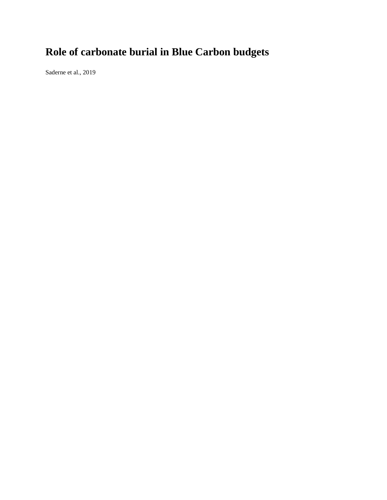## **Role of carbonate burial in Blue Carbon budgets**

Saderne et al., 2019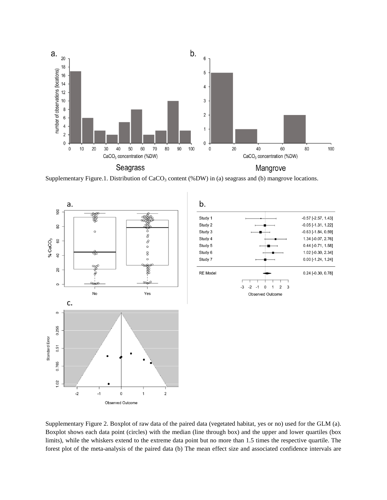

Supplementary Figure.1. Distribution of  $CaCO<sub>3</sub>$  content (%DW) in (a) seagrass and (b) mangrove locations.



Supplementary Figure 2. Boxplot of raw data of the paired data (vegetated habitat, yes or no) used for the GLM (a). Boxplot shows each data point (circles) with the median (line through box) and the upper and lower quartiles (box limits), while the whiskers extend to the extreme data point but no more than 1.5 times the respective quartile. The forest plot of the meta-analysis of the paired data (b) The mean effect size and associated confidence intervals are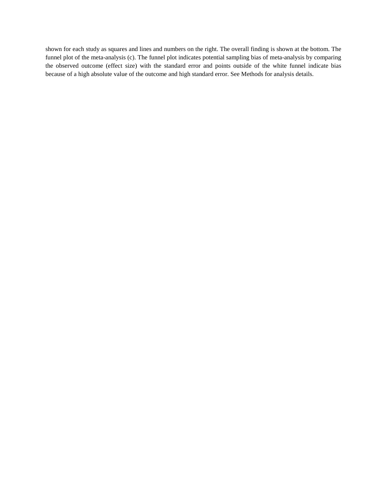shown for each study as squares and lines and numbers on the right. The overall finding is shown at the bottom. The funnel plot of the meta-analysis (c). The funnel plot indicates potential sampling bias of meta-analysis by comparing the observed outcome (effect size) with the standard error and points outside of the white funnel indicate bias because of a high absolute value of the outcome and high standard error. See Methods for analysis details.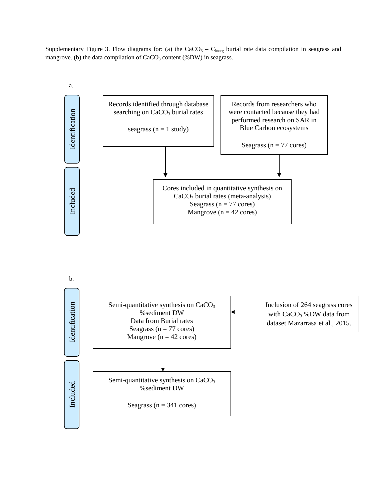Supplementary Figure 3. Flow diagrams for: (a) the  $CaCO<sub>3</sub> - C<sub>inorg</sub>$  burial rate data compilation in seagrass and mangrove. (b) the data compilation of  $CaCO<sub>3</sub>$  content (%DW) in seagrass.



b.

Semi-quantitative synthesis on CaCO<sub>3</sub> Inclusion of 264 seagrass cores Identification Included Identification %sediment DW with  $CaCO<sub>3</sub>$  %DW data from Data from Burial rates dataset Mazarrasa et al., 2015. Seagrass ( $n = 77$  cores) Mangrove ( $n = 42$  cores) Semi-quantitative synthesis on CaCO<sub>3</sub> Included %sediment DW Seagrass ( $n = 341$  cores)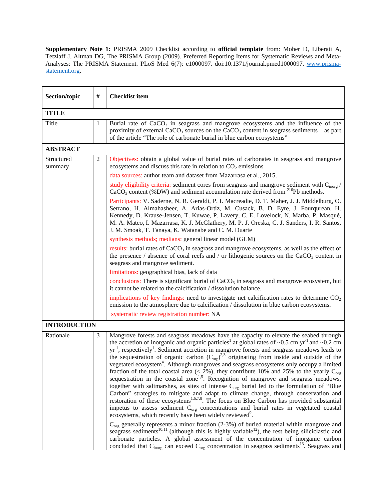**Supplementary Note 1:** PRISMA 2009 Checklist according to **official template** from: Moher D, Liberati A, Tetzlaff J, Altman DG, The PRISMA Group (2009). Preferred Reporting Items for Systematic Reviews and MetaAnalyses: The PRISMA Statement. PLoS Med 6(7): e1000097. doi:10.1371/journal.pmed1000097. [www.prisma](http://www.prisma-statement.org/)[statement.org.](http://www.prisma-statement.org/)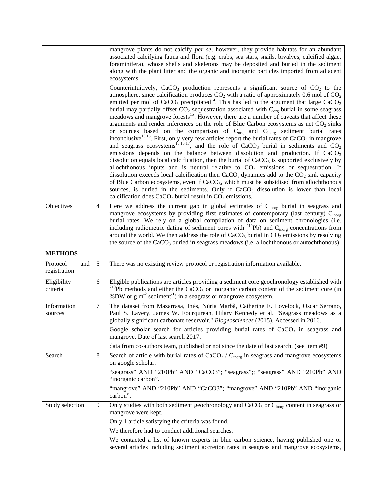|                                 |                | mangrove plants do not calcify <i>per se</i> ; however, they provide habitats for an abundant<br>associated calcifying fauna and flora (e.g. crabs, sea stars, snails, bivalves, calcified algae,<br>foraminifera), whose shells and skeletons may be deposited and buried in the sediment<br>along with the plant litter and the organic and inorganic particles imported from adjacent<br>ecosystems.<br>Counterintuitively, CaCO <sub>3</sub> production represents a significant source of $CO2$ to the<br>atmosphere, since calcification produces $CO2$ with a ratio of approximately 0.6 mol of $CO2$<br>emitted per mol of CaCO <sub>3</sub> precipitated <sup>14</sup> . This has led to the argument that large CaCO <sub>3</sub><br>burial may partially offset $CO2$ sequestration associated with $Corg$ burial in some seagrass<br>meadows and mangrove forests <sup>15</sup> . However, there are a number of caveats that affect these<br>arguments and render inferences on the role of Blue Carbon ecosystems as net $CO2$ sinks<br>or sources based on the comparison of $C_{org}$ and $C_{inorg}$ sediment burial rates<br>inconclusive <sup>13,16</sup> . First, only very few articles report the burial rates of $CaCO3$ in mangrove<br>and seagrass ecosystems <sup>15,16,17</sup> , and the role of CaCO <sub>3</sub> burial in sediments and $CO_2$<br>emissions depends on the balance between dissolution and production. If $CaCO3$<br>dissolution equals local calcification, then the burial of $CaCO3$ is supported exclusively by<br>allochthonous inputs and is neutral relative to $CO2$ emissions or sequestration. If<br>dissolution exceeds local calcification then $CaCO3$ dynamics add to the $CO2$ sink capacity<br>of Blue Carbon ecosystems, even if CaCO <sub>3</sub> , which must be subsidised from allochthonous<br>sources, is buried in the sediments. Only if $CaCO3$ dissolution is lower than local<br>calcification does $CaCO3$ burial result in $CO2$ emissions. |
|---------------------------------|----------------|--------------------------------------------------------------------------------------------------------------------------------------------------------------------------------------------------------------------------------------------------------------------------------------------------------------------------------------------------------------------------------------------------------------------------------------------------------------------------------------------------------------------------------------------------------------------------------------------------------------------------------------------------------------------------------------------------------------------------------------------------------------------------------------------------------------------------------------------------------------------------------------------------------------------------------------------------------------------------------------------------------------------------------------------------------------------------------------------------------------------------------------------------------------------------------------------------------------------------------------------------------------------------------------------------------------------------------------------------------------------------------------------------------------------------------------------------------------------------------------------------------------------------------------------------------------------------------------------------------------------------------------------------------------------------------------------------------------------------------------------------------------------------------------------------------------------------------------------------------------------------------------------------------------------------------------------------------------------------------------------------------------------------|
| Objectives                      | $\overline{4}$ | Here we address the current gap in global estimates of C <sub>inorg</sub> burial in seagrass and                                                                                                                                                                                                                                                                                                                                                                                                                                                                                                                                                                                                                                                                                                                                                                                                                                                                                                                                                                                                                                                                                                                                                                                                                                                                                                                                                                                                                                                                                                                                                                                                                                                                                                                                                                                                                                                                                                                         |
|                                 |                | mangrove ecosystems by providing first estimates of contemporary (last century) C <sub>inorg</sub>                                                                                                                                                                                                                                                                                                                                                                                                                                                                                                                                                                                                                                                                                                                                                                                                                                                                                                                                                                                                                                                                                                                                                                                                                                                                                                                                                                                                                                                                                                                                                                                                                                                                                                                                                                                                                                                                                                                       |
|                                 |                | burial rates. We rely on a global compilation of data on sediment chronologies (i.e.                                                                                                                                                                                                                                                                                                                                                                                                                                                                                                                                                                                                                                                                                                                                                                                                                                                                                                                                                                                                                                                                                                                                                                                                                                                                                                                                                                                                                                                                                                                                                                                                                                                                                                                                                                                                                                                                                                                                     |
|                                 |                | including radiometric dating of sediment cores with $^{210}Pb$ ) and C <sub>inorg</sub> concentrations from<br>around the world. We then address the role of $CaCO3$ burial in $CO2$ emissions by resolving                                                                                                                                                                                                                                                                                                                                                                                                                                                                                                                                                                                                                                                                                                                                                                                                                                                                                                                                                                                                                                                                                                                                                                                                                                                                                                                                                                                                                                                                                                                                                                                                                                                                                                                                                                                                              |
|                                 |                | the source of the $CaCO3$ buried in seagrass meadows (i.e. allochthonous or autochthonous).                                                                                                                                                                                                                                                                                                                                                                                                                                                                                                                                                                                                                                                                                                                                                                                                                                                                                                                                                                                                                                                                                                                                                                                                                                                                                                                                                                                                                                                                                                                                                                                                                                                                                                                                                                                                                                                                                                                              |
|                                 |                |                                                                                                                                                                                                                                                                                                                                                                                                                                                                                                                                                                                                                                                                                                                                                                                                                                                                                                                                                                                                                                                                                                                                                                                                                                                                                                                                                                                                                                                                                                                                                                                                                                                                                                                                                                                                                                                                                                                                                                                                                          |
| <b>METHODS</b>                  |                |                                                                                                                                                                                                                                                                                                                                                                                                                                                                                                                                                                                                                                                                                                                                                                                                                                                                                                                                                                                                                                                                                                                                                                                                                                                                                                                                                                                                                                                                                                                                                                                                                                                                                                                                                                                                                                                                                                                                                                                                                          |
| Protocol<br>and<br>registration | 5              | There was no existing review protocol or registration information available.                                                                                                                                                                                                                                                                                                                                                                                                                                                                                                                                                                                                                                                                                                                                                                                                                                                                                                                                                                                                                                                                                                                                                                                                                                                                                                                                                                                                                                                                                                                                                                                                                                                                                                                                                                                                                                                                                                                                             |
| Eligibility                     | 6              | Eligible publications are articles providing a sediment core geochronology established with                                                                                                                                                                                                                                                                                                                                                                                                                                                                                                                                                                                                                                                                                                                                                                                                                                                                                                                                                                                                                                                                                                                                                                                                                                                                                                                                                                                                                                                                                                                                                                                                                                                                                                                                                                                                                                                                                                                              |
| criteria                        |                | <sup>210</sup> Pb methods and either the CaCO <sub>3</sub> or inorganic carbon content of the sediment core (in<br>%DW or $g m-2$ sediment <sup>-1</sup> ) in a seagrass or mangrove ecosystem.                                                                                                                                                                                                                                                                                                                                                                                                                                                                                                                                                                                                                                                                                                                                                                                                                                                                                                                                                                                                                                                                                                                                                                                                                                                                                                                                                                                                                                                                                                                                                                                                                                                                                                                                                                                                                          |
| Information                     | $\overline{7}$ | The dataset from Mazarrasa, Inés, Núria Marbà, Catherine E. Lovelock, Oscar Serrano,                                                                                                                                                                                                                                                                                                                                                                                                                                                                                                                                                                                                                                                                                                                                                                                                                                                                                                                                                                                                                                                                                                                                                                                                                                                                                                                                                                                                                                                                                                                                                                                                                                                                                                                                                                                                                                                                                                                                     |
| sources                         |                | Paul S. Lavery, James W. Fourqurean, Hilary Kennedy et al. "Seagrass meadows as a<br>globally significant carbonate reservoir." Biogeosciences (2015). Accessed in 2016.                                                                                                                                                                                                                                                                                                                                                                                                                                                                                                                                                                                                                                                                                                                                                                                                                                                                                                                                                                                                                                                                                                                                                                                                                                                                                                                                                                                                                                                                                                                                                                                                                                                                                                                                                                                                                                                 |
|                                 |                | Google scholar search for articles providing burial rates of CaCO <sub>3</sub> in seagrass and                                                                                                                                                                                                                                                                                                                                                                                                                                                                                                                                                                                                                                                                                                                                                                                                                                                                                                                                                                                                                                                                                                                                                                                                                                                                                                                                                                                                                                                                                                                                                                                                                                                                                                                                                                                                                                                                                                                           |
|                                 |                | mangrove. Date of last search 2017.                                                                                                                                                                                                                                                                                                                                                                                                                                                                                                                                                                                                                                                                                                                                                                                                                                                                                                                                                                                                                                                                                                                                                                                                                                                                                                                                                                                                                                                                                                                                                                                                                                                                                                                                                                                                                                                                                                                                                                                      |
| Search                          | 8              | data from co-authors team, published or not since the date of last search. (see item #9)<br>Search of article with burial rates of $CaCO3 / Cinorg$ in seagrass and mangrove ecosystems                                                                                                                                                                                                                                                                                                                                                                                                                                                                                                                                                                                                                                                                                                                                                                                                                                                                                                                                                                                                                                                                                                                                                                                                                                                                                                                                                                                                                                                                                                                                                                                                                                                                                                                                                                                                                                  |
|                                 |                | on google scholar.                                                                                                                                                                                                                                                                                                                                                                                                                                                                                                                                                                                                                                                                                                                                                                                                                                                                                                                                                                                                                                                                                                                                                                                                                                                                                                                                                                                                                                                                                                                                                                                                                                                                                                                                                                                                                                                                                                                                                                                                       |
|                                 |                | "seagrass" AND "210Pb" AND "CaCO3"; "seagrass";; "seagrass" AND "210Pb" AND<br>"inorganic carbon".                                                                                                                                                                                                                                                                                                                                                                                                                                                                                                                                                                                                                                                                                                                                                                                                                                                                                                                                                                                                                                                                                                                                                                                                                                                                                                                                                                                                                                                                                                                                                                                                                                                                                                                                                                                                                                                                                                                       |
|                                 |                | "mangrove" AND "210Pb" AND "CaCO3"; "mangrove" AND "210Pb" AND "inorganic<br>carbon".                                                                                                                                                                                                                                                                                                                                                                                                                                                                                                                                                                                                                                                                                                                                                                                                                                                                                                                                                                                                                                                                                                                                                                                                                                                                                                                                                                                                                                                                                                                                                                                                                                                                                                                                                                                                                                                                                                                                    |
| Study selection                 | 9              | Only studies with both sediment geochronology and CaCO <sub>3</sub> or $C_{\text{inorg}}$ content in seagrass or<br>mangrove were kept.                                                                                                                                                                                                                                                                                                                                                                                                                                                                                                                                                                                                                                                                                                                                                                                                                                                                                                                                                                                                                                                                                                                                                                                                                                                                                                                                                                                                                                                                                                                                                                                                                                                                                                                                                                                                                                                                                  |
|                                 |                | Only 1 article satisfying the criteria was found.                                                                                                                                                                                                                                                                                                                                                                                                                                                                                                                                                                                                                                                                                                                                                                                                                                                                                                                                                                                                                                                                                                                                                                                                                                                                                                                                                                                                                                                                                                                                                                                                                                                                                                                                                                                                                                                                                                                                                                        |
|                                 |                | We therefore had to conduct additional searches.                                                                                                                                                                                                                                                                                                                                                                                                                                                                                                                                                                                                                                                                                                                                                                                                                                                                                                                                                                                                                                                                                                                                                                                                                                                                                                                                                                                                                                                                                                                                                                                                                                                                                                                                                                                                                                                                                                                                                                         |
|                                 |                | We contacted a list of known experts in blue carbon science, having published one or                                                                                                                                                                                                                                                                                                                                                                                                                                                                                                                                                                                                                                                                                                                                                                                                                                                                                                                                                                                                                                                                                                                                                                                                                                                                                                                                                                                                                                                                                                                                                                                                                                                                                                                                                                                                                                                                                                                                     |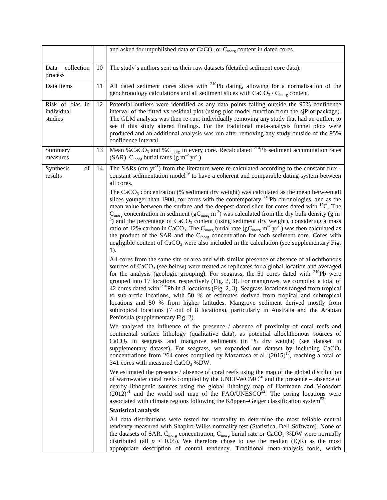|                                          |    | and asked for unpublished data of CaCO <sub>3</sub> or C <sub>inorg</sub> content in dated cores.                                                                                                                                                                                                                                                                                                                                                                                                                                                                                                                                                                                                                                                                                                                                                                                                                     |
|------------------------------------------|----|-----------------------------------------------------------------------------------------------------------------------------------------------------------------------------------------------------------------------------------------------------------------------------------------------------------------------------------------------------------------------------------------------------------------------------------------------------------------------------------------------------------------------------------------------------------------------------------------------------------------------------------------------------------------------------------------------------------------------------------------------------------------------------------------------------------------------------------------------------------------------------------------------------------------------|
| collection<br>Data<br>process            | 10 | The study's authors sent us their raw datasets (detailed sediment core data).                                                                                                                                                                                                                                                                                                                                                                                                                                                                                                                                                                                                                                                                                                                                                                                                                                         |
| Data items                               | 11 | All dated sediment cores slices with <sup>210</sup> Pb dating, allowing for a normalisation of the<br>geochronology calculations and all sediment slices with $CaCO3/Cinorg$ content.                                                                                                                                                                                                                                                                                                                                                                                                                                                                                                                                                                                                                                                                                                                                 |
| Risk of bias in<br>individual<br>studies | 12 | Potential outliers were identified as any data points falling outside the 95% confidence<br>interval of the fitted vs residual plot (using plot model function from the sjPlot package).<br>The GLM analysis was then re-run, individually removing any study that had an outlier, to<br>see if this study altered findings. For the traditional meta-analysis funnel plots were<br>produced and an additional analysis was run after removing any study outside of the 95%<br>confidence interval.                                                                                                                                                                                                                                                                                                                                                                                                                   |
| Summary<br>measures                      | 13 | Mean %CaCO <sub>3</sub> and %C <sub>inorg</sub> in every core. Recalculated <sup>210</sup> Pb sediment accumulation rates<br>(SAR). C <sub>inorg</sub> burial rates ( $\rm g~m^{-2}~yr^{-1}$ )                                                                                                                                                                                                                                                                                                                                                                                                                                                                                                                                                                                                                                                                                                                        |
| Synthesis<br>of<br>results               | 14 | The SARs (cm yr <sup>-1</sup> ) from the literature were re-calculated according to the constant flux -<br>constant sedimentation model <sup>49</sup> to have a coherent and comparable dating system between<br>all cores.                                                                                                                                                                                                                                                                                                                                                                                                                                                                                                                                                                                                                                                                                           |
|                                          |    | The $CaCO3$ concentration (% sediment dry weight) was calculated as the mean between all<br>slices younger than 1900, for cores with the contemporary <sup>210</sup> Pb chronologies, and as the<br>mean value between the surface and the deepest-dated slice for cores dated with <sup>14</sup> C. The<br>$C_{\text{inorg}}$ concentration in sediment (g $C_{\text{inorg}}$ m <sup>-3</sup> ) was calculated from the dry bulk density (g m <sup>-</sup><br>$\alpha$ <sup>3</sup> ) and the percentage of CaCO <sub>3</sub> content (using sediment dry weight), considering a mass<br>ratio of 12% carbon in CaCO <sub>3</sub> . The C <sub>inorg</sub> burial rate ( $gCinorg m-2 yr-1$ ) was then calculated as<br>the product of the SAR and the Cinorg concentration for each sediment core. Cores with<br>negligible content of $CaCO3$ were also included in the calculation (see supplementary Fig.<br>1). |
|                                          |    | All cores from the same site or area and with similar presence or absence of allochthonous<br>sources of $CaCO3$ (see below) were treated as replicates for a global location and averaged<br>for the analysis (geologic grouping). For seagrass, the 51 cores dated with <sup>210</sup> Pb were<br>grouped into 17 locations, respectively (Fig. 2, 3). For mangroves, we compiled a total of<br>42 cores dated with <sup>210</sup> Pb in 8 locations (Fig. 2, 3). Seagrass locations ranged from tropical<br>to sub-arctic locations, with 50 % of estimates derived from tropical and subtropical<br>locations and 50 % from higher latitudes. Mangrove sediment derived mostly from<br>subtropical locations (7 out of 8 locations), particularly in Australia and the Arabian<br>Peninsula (supplementary Fig. 2).                                                                                               |
|                                          |    | We analysed the influence of the presence / absence of proximity of coral reefs and<br>continental surface lithology (qualitative data), as potential allochthonous sources of<br>CaCO <sub>3</sub> in seagrass and mangrove sediments (in % dry weight) (see dataset in<br>supplementary dataset). For seagrass, we expanded our dataset by including $CaCO3$<br>concentrations from 264 cores compiled by Mazarrasa et al. $(2015)^{13}$ , reaching a total of<br>341 cores with measured $CaCO3$ %DW.                                                                                                                                                                                                                                                                                                                                                                                                              |
|                                          |    | We estimated the presence / absence of coral reefs using the map of the global distribution<br>of warm-water coral reefs compiled by the UNEP-WCM $C^{50}$ and the presence – absence of<br>nearby lithogenic sources using the global lithology map of Hartmann and Moosdorf<br>$(2012)^{51}$ and the world soil map of the FAO/UNESCO <sup>52</sup> . The coring locations were<br>associated with climate regions following the Köppen–Geiger classification system <sup>53</sup> .                                                                                                                                                                                                                                                                                                                                                                                                                                |
|                                          |    | <b>Statistical analysis</b>                                                                                                                                                                                                                                                                                                                                                                                                                                                                                                                                                                                                                                                                                                                                                                                                                                                                                           |
|                                          |    | All data distributions were tested for normality to determine the most reliable central<br>tendency measured with Shapiro-Wilks normality test (Statistica, Dell Software). None of<br>the datasets of SAR, $C_{\text{inorg}}$ concentration, $C_{\text{inorg}}$ burial rate or $CaCO3$ %DW were normally<br>distributed (all $p < 0.05$ ). We therefore chose to use the median (IQR) as the most<br>appropriate description of central tendency. Traditional meta-analysis tools, which                                                                                                                                                                                                                                                                                                                                                                                                                             |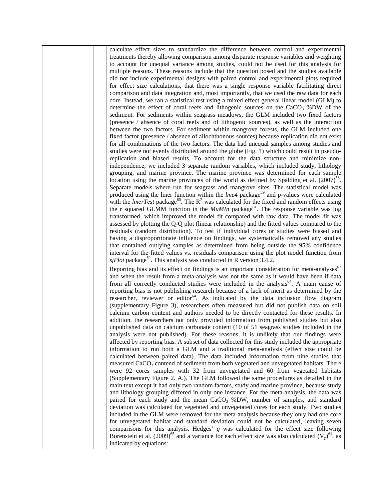calculate effect sizes to standardize the difference between control and experimental treatments thereby allowing comparison among disparate response variables and weighting to account for unequal variance among studies, could not be used for this analysis for multiple reasons. These reasons include that the question posed and the studies available did not include experimental designs with paired control and experimental plots required for effect size calculations, that there was a single response variable facilitating direct comparison and data integration and, most importantly, that we used the raw data for each core. Instead, we ran a statistical test using a mixed effect general linear model (GLM) to determine the effect of coral reefs and lithogenic sources on the  $CaCO<sub>3</sub>$  %DW of the sediment. For sediments within seagrass meadows, the GLM included two fixed factors (presence / absence of coral reefs and of lithogenic sources), as well as the interaction between the two factors. For sediment within mangrove forests, the GLM included one fixed factor (presence / absence of allochthonous sources) because replication did not exist for all combinations of the two factors. The data had unequal samples among studies and studies were not evenly distributed around the globe (Fig. 1) which could result in pseudoreplication and biased results. To account for the data structure and minimize nonindependence, we included 3 separate random variables, which included study, lithology grouping, and marine province. The marine province was determined for each sample location using the marine provinces of the world as defined by Spalding et al.  $(2007)^{58}$ . Separate models where run for seagrass and mangrove sites. The statistical model was produced using the lmer function within the *lme4* package<sup>59</sup> and p-values were calculated with the *lmerTest* package<sup>60</sup>. The  $R^2$  was calculated for the fixed and random effects using the r squared GLMM function in the  $MuM$ *n* package<sup>61</sup>. The response variable was log transformed, which improved the model fit compared with raw data. The model fit was assessed by plotting the Q-Q plot (linear relationship) and the fitted values compared to the residuals (random distribution). To test if individual cores or studies were biased and having a disproportionate influence on findings, we systematically removed any studies that contained outlying samples as determined from being outside the 95% confidence interval for the fitted values vs. residuals comparison using the plot model function from  $sjPlot$  package<sup>62</sup>. This analysis was conducted in R version 3.4.2.

Reporting bias and its effect on findings is an important consideration for meta-analyses<sup>63</sup> and when the result from a meta-analysis was not the same as it would have been if data from all correctly conducted studies were included in the analysis<sup>64</sup>. A main cause of reporting bias is not publishing research because of a lack of merit as determined by the researcher, reviewer or editor<sup>64</sup>. As indicated by the data inclusion flow diagram (supplementary Figure 3), researchers often measured but did not publish data on soil calcium carbon content and authors needed to be directly contacted for these results. In addition, the researchers not only provided information from published studies but also unpublished data on calcium carbonate content (10 of 51 seagrass studies included in the analysis were not published). For these reasons, it is unlikely that our findings were affected by reporting bias. A subset of data collected for this study included the appropriate information to run both a GLM and a traditional meta-analysis (effect size could be calculated between paired data). The data included information from nine studies that measured  $CaCO<sub>3</sub>$  contend of sediment from both vegetated and unvegetated habitats. There were 92 cores samples with 32 from unvegetated and 60 from vegetated habitats (Supplementary Figure 2. A.). The GLM followed the same procedures as detailed in the main text except it had only two random factors, study and marine province, because study and lithology grouping differed in only one instance. For the meta-analysis, the data was paired for each study and the mean  $CaCO<sub>3</sub>$  %DW, number of samples, and standard deviation was calculated for vegetated and unvegetated cores for each study. Two studies included in the GLM were removed for the meta-analysis because they only had one core for unvegetated habitat and standard deviation could not be calculated, leaving seven comparisons for this analysis. Hedges' *g* was calculated for the effect size following Borenstein et al. (2009)<sup>65</sup> and a variance for each effect size was also calculated  $(V_g)^{64}$ , as indicated by equations: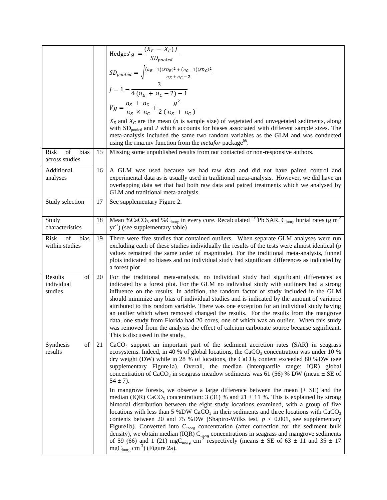|                                        |    | Hedges' $g = \frac{(X_E - X_C) J}{SD_{pooled}}$                                                                                                                                                                                                                                                                                                                                                                                                                                                                                                                                                                                                                                                                                                                                                                                                                                           |
|----------------------------------------|----|-------------------------------------------------------------------------------------------------------------------------------------------------------------------------------------------------------------------------------------------------------------------------------------------------------------------------------------------------------------------------------------------------------------------------------------------------------------------------------------------------------------------------------------------------------------------------------------------------------------------------------------------------------------------------------------------------------------------------------------------------------------------------------------------------------------------------------------------------------------------------------------------|
|                                        |    | $SD_{pooled} = \sqrt{\frac{(n_E-1)(SD_E)^2 + (n_C-1)(SD_C)^2}{n_E + n_C - 2}}$                                                                                                                                                                                                                                                                                                                                                                                                                                                                                                                                                                                                                                                                                                                                                                                                            |
|                                        |    |                                                                                                                                                                                                                                                                                                                                                                                                                                                                                                                                                                                                                                                                                                                                                                                                                                                                                           |
|                                        |    | $J = 1 - \frac{3}{4(n_E + n_C - 2) - 1}$                                                                                                                                                                                                                                                                                                                                                                                                                                                                                                                                                                                                                                                                                                                                                                                                                                                  |
|                                        |    |                                                                                                                                                                                                                                                                                                                                                                                                                                                                                                                                                                                                                                                                                                                                                                                                                                                                                           |
|                                        |    | $Vg = \frac{n_E + n_C}{n_E \times n_C} + \frac{g^2}{2(n_E + n_C)}$                                                                                                                                                                                                                                                                                                                                                                                                                                                                                                                                                                                                                                                                                                                                                                                                                        |
|                                        |    | $X_E$ and $X_C$ are the mean ( <i>n</i> is sample size) of vegetated and unvegetated sediments, along<br>with $SD_{pooled}$ and J which accounts for biases associated with different sample sizes. The<br>meta-analysis included the same two random variables as the GLM and was conducted<br>using the rma.mv function from the <i>metafor</i> package <sup>ob</sup> .                                                                                                                                                                                                                                                                                                                                                                                                                                                                                                                 |
| of<br>Risk<br>bias<br>across studies   | 15 | Missing some unpublished results from not contacted or non-responsive authors.                                                                                                                                                                                                                                                                                                                                                                                                                                                                                                                                                                                                                                                                                                                                                                                                            |
| Additional<br>analyses                 | 16 | A GLM was used because we had raw data and did not have paired control and<br>experimental data as is usually used in traditional meta-analysis. However, we did have an<br>overlapping data set that had both raw data and paired treatments which we analysed by<br>GLM and traditional meta-analysis                                                                                                                                                                                                                                                                                                                                                                                                                                                                                                                                                                                   |
| Study selection                        | 17 | See supplementary Figure 2.                                                                                                                                                                                                                                                                                                                                                                                                                                                                                                                                                                                                                                                                                                                                                                                                                                                               |
| Study<br>characteristics               | 18 | Mean %CaCO <sub>3</sub> and %C <sub>inorg</sub> in every core. Recalculated <sup>210</sup> Pb SAR. C <sub>inorg</sub> burial rates (g m <sup>-2</sup><br>$yr^{-1}$ ) (see supplementary table)                                                                                                                                                                                                                                                                                                                                                                                                                                                                                                                                                                                                                                                                                            |
| of<br>Risk<br>bias<br>within studies   | 19 | There were five studies that contained outliers. When separate GLM analyses were run<br>excluding each of these studies individually the results of the tests were almost identical (p<br>values remained the same order of magnitude). For the traditional meta-analysis, funnel<br>plots indicated no biases and no individual study had significant differences as indicated by<br>a forest plot                                                                                                                                                                                                                                                                                                                                                                                                                                                                                       |
| Results<br>of<br>individual<br>studies | 20 | For the traditional meta-analysis, no individual study had significant differences as<br>indicated by a forest plot. For the GLM no individual study with outliners had a strong<br>influence on the results. In addition, the random factor of study included in the GLM<br>should minimize any bias of individual studies and is indicated by the amount of variance<br>attributed to this random variable. There was one exception for an individual study having<br>an outlier which when removed changed the results. For the results from the mangrove<br>data, one study from Florida had 20 cores, one of which was an outlier. When this study<br>was removed from the analysis the effect of calcium carbonate source because significant.<br>This is discussed in the study.                                                                                                   |
| of<br>Synthesis<br>results             | 21 | $CaCO3$ support an important part of the sediment accretion rates (SAR) in seagrass<br>ecosystems. Indeed, in 40 % of global locations, the CaCO <sub>3</sub> concentration was under 10 %<br>dry weight (DW) while in 28 % of locations, the CaCO <sub>3</sub> content exceeded 80 %DW (see<br>supplementary Figure1a). Overall, the median (interquartile range: IQR) global<br>concentration of $CaCO3$ in seagrass meadow sediments was 61 (56) % DW (mean $\pm$ SE of<br>$54 \pm 7$ ).                                                                                                                                                                                                                                                                                                                                                                                               |
|                                        |    | In mangrove forests, we observe a large difference between the mean $(\pm$ SE) and the<br>median (IQR) CaCO <sub>3</sub> concentration: 3 (31) % and 21 $\pm$ 11 %. This is explained by strong<br>bimodal distribution between the eight study locations examined, with a group of five<br>locations with less than 5 %DW CaCO <sub>3</sub> in their sediments and three locations with CaCO <sub>3</sub><br>contents between 20 and 75 %DW (Shapiro-Wilks test, $p < 0.001$ , see supplementary<br>Figure1b). Converted into C <sub>inorg</sub> concentration (after correction for the sediment bulk<br>density), we obtain median (IQR) $C_{\text{inorg}}$ concentrations in seagrass and mangrove sediments<br>of 59 (66) and 1 (21) mgC <sub>inorg</sub> cm <sup>-3</sup> respectively (means $\pm$ SE of 63 $\pm$ 11 and 35 $\pm$ 17<br>$mgCinorg$ cm <sup>-3</sup> ) (Figure 2a). |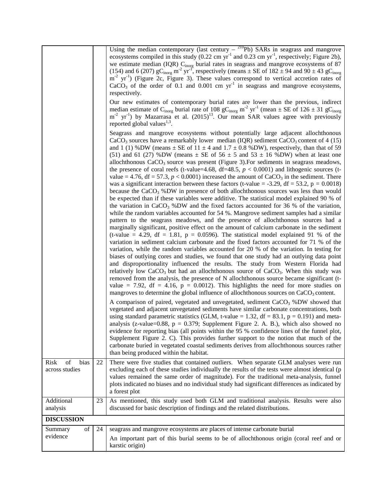| of<br>bias                    |    | Using the median contemporary (last century $-$ <sup>210</sup> Pb) SARs in seagrass and mangrove<br>ecosystems compiled in this study (0.22 cm $yr^{-1}$ and 0.23 cm $yr^{-1}$ , respectively; Figure 2b),<br>we estimate median (IQR) C <sub>inorg</sub> burial rates in seagrass and mangrove ecosystems of 87<br>(154) and 6 (207) $gC_{inorg}$ m <sup>-2</sup> yr <sup>-T</sup> , respectively (means $\pm$ SE of 182 $\pm$ 94 and 90 $\pm$ 43 $gC_{inorg}$<br>$m-2$ yr <sup>-1</sup> ) (Figure 2c, Figure 3). These values correspond to vertical accretion rates of<br>CaCO <sub>3</sub> of the order of 0.1 and 0.001 cm $yr^{-1}$ in seagrass and mangrove ecosystems,<br>respectively.<br>Our new estimates of contemporary burial rates are lower than the previous, indirect<br>median estimate of C <sub>inorg</sub> burial rate of 108 gC <sub>inorg</sub> m <sup>-2</sup> yr <sup>-1</sup> (mean $\pm$ SE of 126 $\pm$ 31 gC <sub>inorg</sub><br>$m-2$ yr <sup>-1</sup> ) by Mazarrasa et al. (2015) <sup>13</sup> . Our mean SAR values agree with previously<br>reported global values <sup>1,3</sup> .<br>Seagrass and mangrove ecosystems without potentially large adjacent allochthonous<br>$CaCO3$ sources have a remarkably lower median (IQR) sediment $CaCO3$ content of 4 (15)<br>and 1 (1) %DW (means $\pm$ SE of 11 $\pm$ 4 and 1.7 $\pm$ 0.8 %DW), respectively, than that of 59<br>(51) and 61 (27) %DW (means $\pm$ SE of 56 $\pm$ 5 and 53 $\pm$ 16 %DW) when at least one<br>allochthonous $CaCO3$ source was present (Figure 3). For sediments in seagrass meadows,<br>the presence of coral reefs (t-value=4.68, df=48.5, $p < 0.0001$ ) and lithogenic sources (t-<br>value = 4.76, df = 57.3, $p < 0.0001$ ) increased the amount of CaCO <sub>3</sub> in the sediment. There<br>was a significant interaction between these factors (t-value = -3.29, df = 53.2, $p = 0.0018$ )<br>because the $CaCO3$ %DW in presence of both allochthonous sources was less than would<br>be expected than if these variables were additive. The statistical model explained 90 % of<br>the variation in CaCO <sub>3</sub> %DW and the fixed factors accounted for 36 % of the variation,<br>while the random variables accounted for 54 %. Mangrove sediment samples had a similar<br>pattern to the seagrass meadows, and the presence of allochthonous sources had a<br>marginally significant, positive effect on the amount of calcium carbonate in the sediment<br>(t-value = 4.29, df = 1.81, $p = 0.0596$ ). The statistical model explained 91 % of the<br>variation in sediment calcium carbonate and the fixed factors accounted for 71 % of the<br>variation, while the random variables accounted for 20 % of the variation. In testing for<br>biases of outlying cores and studies, we found that one study had an outlying data point<br>and disproportionality influenced the results. The study from Western Florida had<br>relatively low $CaCO3$ but had an allochthonous source of $CaCO3$ . When this study was<br>removed from the analysis, the presence of N allochthonous source became significant (t-<br>value = 7.92, df = 4.16, $p = 0.0012$ ). This highlights the need for more studies on<br>mangroves to determine the global influence of allochthonous sources on $CaCO3$ content.<br>A comparison of paired, vegetated and unvegetated, sediment CaCO <sub>3</sub> %DW showed that<br>vegetated and adjacent unvegetated sediments have similar carbonate concentrations, both<br>using standard parametric statistics (GLM, t-value = 1.32, df = 83.1, $p = 0.191$ ) and meta-<br>analysis (z-value= $0.88$ , p = 0.379; Supplement Figure 2. A. B.), which also showed no<br>evidence for reporting bias (all points within the 95 % confidence lines of the funnel plot,<br>Supplement Figure 2. C). This provides further support to the notion that much of the<br>carbonate buried in vegetated coastal sediments derives from allochthonous sources rather<br>than being produced within the habitat. |
|-------------------------------|----|-------------------------------------------------------------------------------------------------------------------------------------------------------------------------------------------------------------------------------------------------------------------------------------------------------------------------------------------------------------------------------------------------------------------------------------------------------------------------------------------------------------------------------------------------------------------------------------------------------------------------------------------------------------------------------------------------------------------------------------------------------------------------------------------------------------------------------------------------------------------------------------------------------------------------------------------------------------------------------------------------------------------------------------------------------------------------------------------------------------------------------------------------------------------------------------------------------------------------------------------------------------------------------------------------------------------------------------------------------------------------------------------------------------------------------------------------------------------------------------------------------------------------------------------------------------------------------------------------------------------------------------------------------------------------------------------------------------------------------------------------------------------------------------------------------------------------------------------------------------------------------------------------------------------------------------------------------------------------------------------------------------------------------------------------------------------------------------------------------------------------------------------------------------------------------------------------------------------------------------------------------------------------------------------------------------------------------------------------------------------------------------------------------------------------------------------------------------------------------------------------------------------------------------------------------------------------------------------------------------------------------------------------------------------------------------------------------------------------------------------------------------------------------------------------------------------------------------------------------------------------------------------------------------------------------------------------------------------------------------------------------------------------------------------------------------------------------------------------------------------------------------------------------------------------------------------------------------------------------------------------------------------------------------------------------------------------------------------------------------------------------------------------------------------------------------------------------------------------------------------------------------------------------------------------------------------------------------------------------------------------------------------------------------------------------------------------------------------------------------------------------------------------------------------------------------------------------------------------------------------------------------------------------------------------------------------------------------------------------------------------------------------------------------------------------------------------|
| <b>Risk</b><br>across studies | 22 | There were five studies that contained outliers. When separate GLM analyses were run<br>excluding each of these studies individually the results of the tests were almost identical (p<br>values remained the same order of magnitude). For the traditional meta-analysis, funnel<br>plots indicated no biases and no individual study had significant differences as indicated by<br>a forest plot                                                                                                                                                                                                                                                                                                                                                                                                                                                                                                                                                                                                                                                                                                                                                                                                                                                                                                                                                                                                                                                                                                                                                                                                                                                                                                                                                                                                                                                                                                                                                                                                                                                                                                                                                                                                                                                                                                                                                                                                                                                                                                                                                                                                                                                                                                                                                                                                                                                                                                                                                                                                                                                                                                                                                                                                                                                                                                                                                                                                                                                                                                                                                                                                                                                                                                                                                                                                                                                                                                                                                                                                                                                                     |
| Additional<br>analysis        | 23 | As mentioned, this study used both GLM and traditional analysis. Results were also<br>discussed for basic description of findings and the related distributions.                                                                                                                                                                                                                                                                                                                                                                                                                                                                                                                                                                                                                                                                                                                                                                                                                                                                                                                                                                                                                                                                                                                                                                                                                                                                                                                                                                                                                                                                                                                                                                                                                                                                                                                                                                                                                                                                                                                                                                                                                                                                                                                                                                                                                                                                                                                                                                                                                                                                                                                                                                                                                                                                                                                                                                                                                                                                                                                                                                                                                                                                                                                                                                                                                                                                                                                                                                                                                                                                                                                                                                                                                                                                                                                                                                                                                                                                                                        |
| <b>DISCUSSION</b>             |    |                                                                                                                                                                                                                                                                                                                                                                                                                                                                                                                                                                                                                                                                                                                                                                                                                                                                                                                                                                                                                                                                                                                                                                                                                                                                                                                                                                                                                                                                                                                                                                                                                                                                                                                                                                                                                                                                                                                                                                                                                                                                                                                                                                                                                                                                                                                                                                                                                                                                                                                                                                                                                                                                                                                                                                                                                                                                                                                                                                                                                                                                                                                                                                                                                                                                                                                                                                                                                                                                                                                                                                                                                                                                                                                                                                                                                                                                                                                                                                                                                                                                         |
| of<br>Summary<br>evidence     | 24 | seagrass and mangrove ecosystems are places of intense carbonate burial<br>An important part of this burial seems to be of allochthonous origin (coral reef and or<br>karstic origin)                                                                                                                                                                                                                                                                                                                                                                                                                                                                                                                                                                                                                                                                                                                                                                                                                                                                                                                                                                                                                                                                                                                                                                                                                                                                                                                                                                                                                                                                                                                                                                                                                                                                                                                                                                                                                                                                                                                                                                                                                                                                                                                                                                                                                                                                                                                                                                                                                                                                                                                                                                                                                                                                                                                                                                                                                                                                                                                                                                                                                                                                                                                                                                                                                                                                                                                                                                                                                                                                                                                                                                                                                                                                                                                                                                                                                                                                                   |